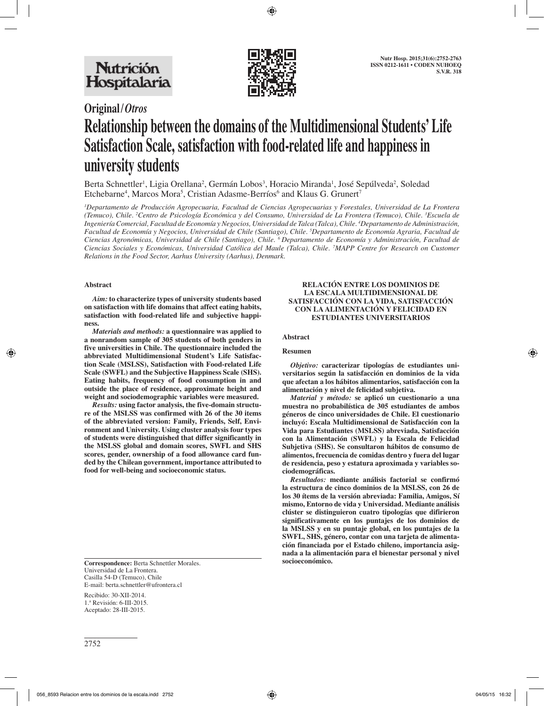

# **Original/***Otros* **Relationship between the domains of the Multidimensional Students' Life Satisfaction Scale, satisfaction with food-related life and happiness in university students**

Berta Schnettler<sup>1</sup>, Ligia Orellana<sup>2</sup>, Germán Lobos<sup>3</sup>, Horacio Miranda<sup>1</sup>, José Sepúlveda<sup>2</sup>, Soledad Etchebarne<sup>4</sup>, Marcos Mora<sup>5</sup>, Cristian Adasme-Berríos<sup>6</sup> and Klaus G. Grunert<sup>7</sup>

*1 Departamento de Producción Agropecuaria, Facultad de Ciencias Agropecuarias y Forestales, Universidad de La Frontera (Temuco), Chile. 2 Centro de Psicología Económica y del Consumo, Universidad de La Frontera (Temuco), Chile. 3 Escuela de Ingeniería Comercial, Facultad de Economía y Negocios, Universidad de Talca (Talca), Chile. 4 Departamento de Administración, Facultad de Economía y Negocios, Universidad de Chile (Santiago), Chile. 5 Departamento de Economía Agraria, Facultad de Ciencias Agronómicas, Universidad de Chile (Santiago), Chile. 6 Departamento de Economía y Administración, Facultad de Ciencias Sociales y Económicas, Universidad Católica del Maule (Talca), Chile. 7 MAPP Centre for Research on Customer Relations in the Food Sector, Aarhus University (Aarhus), Denmark.*

## **Abstract**

*Aim:* **to characterize types of university students based on satisfaction with life domains that affect eating habits, satisfaction with food-related life and subjective happiness.**

*Materials and methods:* **a questionnaire was applied to a nonrandom sample of 305 students of both genders in five universities in Chile. The questionnaire included the abbreviated Multidimensional Student's Life Satisfaction Scale (MSLSS), Satisfaction with Food-related Life Scale (SWFL) and the Subjective Happiness Scale (SHS). Eating habits, frequency of food consumption in and outside the place of residence, approximate height and weight and sociodemographic variables were measured.**

*Results:* **using factor analysis, the five-domain structure of the MSLSS was confirmed with 26 of the 30 items of the abbreviated version: Family, Friends, Self, Environment and University. Using cluster analysis four types of students were distinguished that differ significantly in the MSLSS global and domain scores, SWFL and SHS scores, gender, ownership of a food allowance card funded by the Chilean government, importance attributed to food for well-being and socioeconomic status.**

**Correspondence:** Berta Schnettler Morales. Universidad de La Frontera. Casilla 54-D (Temuco), Chile E-mail: berta.schnettler@ufrontera.cl

Recibido: 30-XII-2014. 1.ª Revisión: 6-III-2015. Aceptado: 28-III-2015.

#### **RELACIÓN ENTRE LOS DOMINIOS DE LA ESCALA MULTIDIMENSIONAL DE SATISFACCIÓN CON LA VIDA, SATISFACCIÓN CON LA ALIMENTACIÓN Y FELICIDAD EN ESTUDIANTES UNIVERSITARIOS**

#### **Abstract**

#### **Resumen**

*Objetivo:* **caracterizar tipologías de estudiantes universitarios según la satisfacción en dominios de la vida que afectan a los hábitos alimentarios, satisfacción con la alimentación y nivel de felicidad subjetiva.**

*Material y método:* **se aplicó un cuestionario a una muestra no probabilística de 305 estudiantes de ambos géneros de cinco universidades de Chile. El cuestionario incluyó: Escala Multidimensional de Satisfacción con la Vida para Estudiantes (MSLSS) abreviada, Satisfacción con la Alimentación (SWFL) y la Escala de Felicidad Subjetiva (SHS). Se consultaron hábitos de consumo de alimentos, frecuencia de comidas dentro y fuera del lugar de residencia, peso y estatura aproximada y variables sociodemográficas.**

*Resultados:* **mediante análisis factorial se confirmó la estructura de cinco dominios de la MSLSS, con 26 de los 30 ítems de la versión abreviada: Familia, Amigos, Sí mismo, Entorno de vida y Universidad. Mediante análisis clúster se distinguieron cuatro tipologías que difirieron significativamente en los puntajes de los dominios de la MSLSS y en su puntaje global, en los puntajes de la SWFL, SHS, género, contar con una tarjeta de alimentación financiada por el Estado chileno, importancia asignada a la alimentación para el bienestar personal y nivel**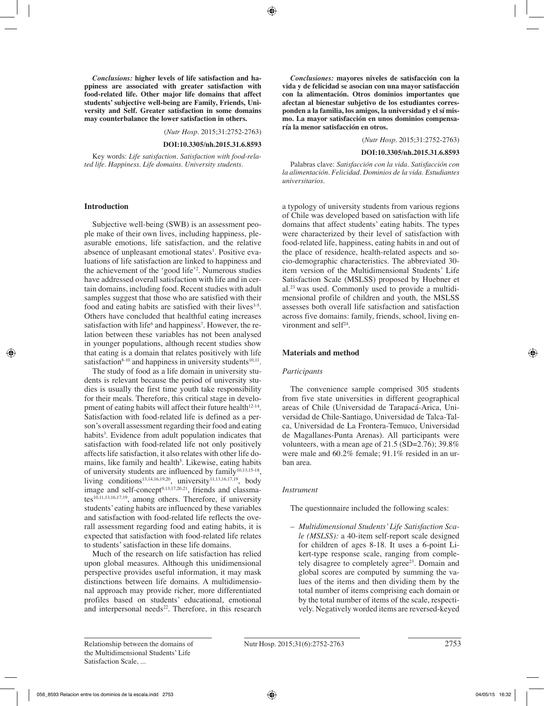*Conclusions:* **higher levels of life satisfaction and happiness are associated with greater satisfaction with food-related life. Other major life domains that affect students' subjective well-being are Family, Friends, University and Self. Greater satisfaction in some domains may counterbalance the lower satisfaction in others.**

(*Nutr Hosp.* 2015;31:2752-2763)

#### **DOI:10.3305/nh.2015.31.6.8593**

Key words: *Life satisfaction. Satisfaction with food-related life. Happiness. Life domains. University students.*

#### **Introduction**

Subjective well-being (SWB) is an assessment people make of their own lives, including happiness, pleasurable emotions, life satisfaction, and the relative absence of unpleasant emotional states<sup>1</sup>. Positive evaluations of life satisfaction are linked to happiness and the achievement of the 'good life'2 . Numerous studies have addressed overall satisfaction with life and in certain domains, including food. Recent studies with adult samples suggest that those who are satisfied with their food and eating habits are satisfied with their lives<sup>3-5</sup>. Others have concluded that healthful eating increases satisfaction with life<sup>6</sup> and happiness<sup>7</sup>. However, the relation between these variables has not been analysed in younger populations, although recent studies show that eating is a domain that relates positively with life satisfaction<sup>8-10</sup> and happiness in university students<sup>10,11</sup>.

The study of food as a life domain in university students is relevant because the period of university studies is usually the first time youth take responsibility for their meals. Therefore, this critical stage in development of eating habits will affect their future health $12-14$ . Satisfaction with food-related life is defined as a person's overall assessment regarding their food and eating habits<sup>3</sup>. Evidence from adult population indicates that satisfaction with food-related life not only positively affects life satisfaction, it also relates with other life domains, like family and health<sup>5</sup>. Likewise, eating habits of university students are influenced by  $family^{10,13,15-18}$ , living conditions<sup>13,14,16,19,20</sup>, university<sup>11,13,16,17,19</sup>, body image and self-concept<sup>9,13,17,20,21</sup>, friends and classmates $^{10,11,13,16,17,19}$ , among others. Therefore, if university students' eating habits are influenced by these variables and satisfaction with food-related life reflects the overall assessment regarding food and eating habits, it is expected that satisfaction with food-related life relates to students' satisfaction in these life domains.

Much of the research on life satisfaction has relied upon global measures. Although this unidimensional perspective provides useful information, it may mask distinctions between life domains. A multidimensional approach may provide richer, more differentiated profiles based on students' educational, emotional and interpersonal needs $22$ . Therefore, in this research

*Conclusiones:* **mayores niveles de satisfacción con la vida y de felicidad se asocian con una mayor satisfacción con la alimentación. Otros dominios importantes que afectan al bienestar subjetivo de los estudiantes corresponden a la familia, los amigos, la universidad y el sí mismo. La mayor satisfacción en unos dominios compensaría la menor satisfacción en otros.**

(*Nutr Hosp.* 2015;31:2752-2763)

#### **DOI:10.3305/nh.2015.31.6.8593**

Palabras clave: *Satisfacción con la vida. Satisfacción con la alimentación. Felicidad. Dominios de la vida. Estudiantes universitarios.*

a typology of university students from various regions of Chile was developed based on satisfaction with life domains that affect students' eating habits. The types were characterized by their level of satisfaction with food-related life, happiness, eating habits in and out of the place of residence, health-related aspects and socio-demographic characteristics. The abbreviated 30 item version of the Multidimensional Students' Life Satisfaction Scale (MSLSS) proposed by Huebner et al.23 was used. Commonly used to provide a multidimensional profile of children and youth, the MSLSS assesses both overall life satisfaction and satisfaction across five domains: family, friends, school, living environment and self<sup>24</sup>.

### **Materials and method**

#### *Participants*

The convenience sample comprised 305 students from five state universities in different geographical areas of Chile (Universidad de Tarapacá-Arica, Universidad de Chile-Santiago, Universidad de Talca-Talca, Universidad de La Frontera-Temuco, Universidad de Magallanes-Punta Arenas). All participants were volunteers, with a mean age of 21.5 (SD=2.76); 39.8% were male and 60.2% female; 91.1% resided in an urban area.

## *Instrument*

The questionnaire included the following scales:

– *Multidimensional Students' Life Satisfaction Scale (MSLSS):* a 40-item self-report scale designed for children of ages 8-18. It uses a 6-point Likert-type response scale, ranging from completely disagree to completely agree<sup>23</sup>. Domain and global scores are computed by summing the values of the items and then dividing them by the total number of items comprising each domain or by the total number of items of the scale, respectively. Negatively worded items are reversed-keyed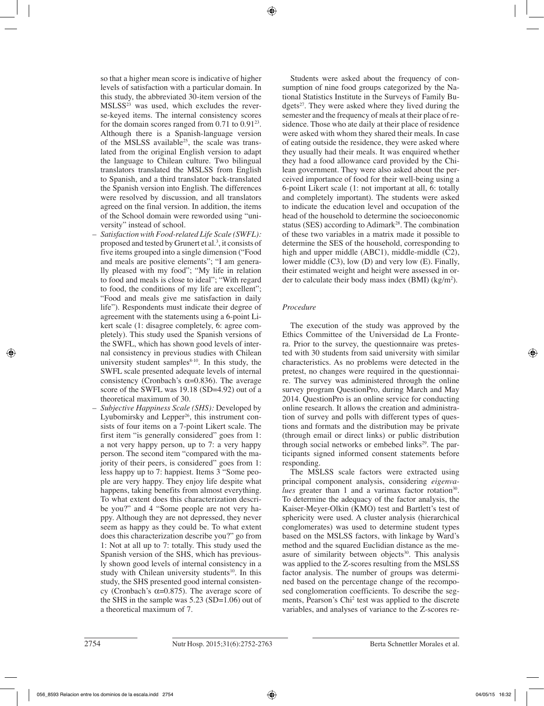so that a higher mean score is indicative of higher levels of satisfaction with a particular domain. In this study, the abbreviated 30-item version of the  $MSLSS<sup>23</sup>$  was used, which excludes the reverse-keyed items. The internal consistency scores for the domain scores ranged from  $0.71$  to  $0.91^{23}$ . Although there is a Spanish-language version of the MSLSS available<sup>25</sup>, the scale was translated from the original English version to adapt the language to Chilean culture. Two bilingual translators translated the MSLSS from English to Spanish, and a third translator back-translated the Spanish version into English. The differences were resolved by discussion, and all translators agreed on the final version. In addition, the items of the School domain were reworded using "university" instead of school.

- *Satisfaction with Food-related Life Scale (SWFL):* proposed and tested by Grunert et al.<sup>3</sup>, it consists of five items grouped into a single dimension ("Food and meals are positive elements"; "I am generally pleased with my food"; "My life in relation to food and meals is close to ideal"; "With regard to food, the conditions of my life are excellent"; "Food and meals give me satisfaction in daily life"). Respondents must indicate their degree of agreement with the statements using a 6-point Likert scale (1: disagree completely, 6: agree completely). This study used the Spanish versions of the SWFL, which has shown good levels of internal consistency in previous studies with Chilean university student samples $8-10$ . In this study, the SWFL scale presented adequate levels of internal consistency (Cronbach's  $\alpha$ =0.836). The average score of the SWFL was 19.18 (SD=4.92) out of a theoretical maximum of 30.
- *Subjective Happiness Scale (SHS):* Developed by Lyubomirsky and Lepper<sup>26</sup>, this instrument consists of four items on a 7-point Likert scale. The first item "is generally considered" goes from 1: a not very happy person, up to 7: a very happy person. The second item "compared with the majority of their peers, is considered" goes from 1: less happy up to 7: happiest. Items 3 "Some people are very happy. They enjoy life despite what happens, taking benefits from almost everything. To what extent does this characterization describe you?" and 4 "Some people are not very happy. Although they are not depressed, they never seem as happy as they could be. To what extent does this characterization describe you?" go from 1: Not at all up to 7: totally. This study used the Spanish version of the SHS, which has previously shown good levels of internal consistency in a study with Chilean university students<sup>10</sup>. In this study, the SHS presented good internal consistency (Cronbach's α=0.875). The average score of the SHS in the sample was 5.23 (SD=1.06) out of a theoretical maximum of 7.

Students were asked about the frequency of consumption of nine food groups categorized by the National Statistics Institute in the Surveys of Family Budgets<sup>27</sup>. They were asked where they lived during the semester and the frequency of meals at their place of residence. Those who ate daily at their place of residence were asked with whom they shared their meals. In case of eating outside the residence, they were asked where they usually had their meals. It was enquired whether they had a food allowance card provided by the Chilean government. They were also asked about the perceived importance of food for their well-being using a 6-point Likert scale (1: not important at all, 6: totally and completely important). The students were asked to indicate the education level and occupation of the head of the household to determine the socioeconomic status (SES) according to Adimark<sup>28</sup>. The combination of these two variables in a matrix made it possible to determine the SES of the household, corresponding to high and upper middle (ABC1), middle-middle (C2), lower middle (C3), low (D) and very low (E). Finally, their estimated weight and height were assessed in order to calculate their body mass index  $(BMI)$  (kg/m<sup>2</sup>).

## *Procedure*

The execution of the study was approved by the Ethics Committee of the Universidad de La Frontera. Prior to the survey, the questionnaire was pretested with 30 students from said university with similar characteristics. As no problems were detected in the pretest, no changes were required in the questionnaire. The survey was administered through the online survey program QuestionPro, during March and May 2014. QuestionPro is an online service for conducting online research. It allows the creation and administration of survey and polls with different types of questions and formats and the distribution may be private (through email or direct links) or public distribution through social networks or embebed links<sup>29</sup>. The participants signed informed consent statements before responding.

The MSLSS scale factors were extracted using principal component analysis, considering *eigenvalues* greater than 1 and a varimax factor rotation<sup>30</sup>. To determine the adequacy of the factor analysis, the Kaiser-Meyer-Olkin (KMO) test and Bartlett's test of sphericity were used. A cluster analysis (hierarchical conglomerates) was used to determine student types based on the MSLSS factors, with linkage by Ward's method and the squared Euclidian distance as the measure of similarity between objects<sup>30</sup>. This analysis was applied to the Z-scores resulting from the MSLSS factor analysis. The number of groups was determined based on the percentage change of the recomposed conglomeration coefficients. To describe the segments, Pearson's Chi<sup>2</sup> test was applied to the discrete variables, and analyses of variance to the Z-scores re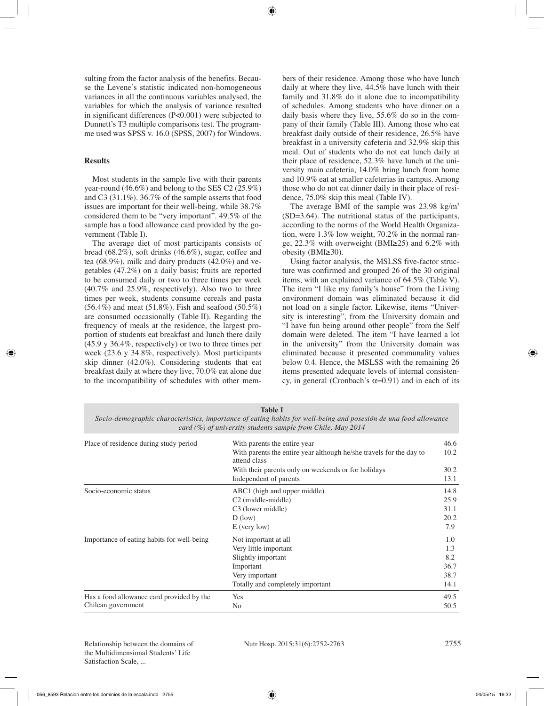sulting from the factor analysis of the benefits. Because the Levene's statistic indicated non-homogeneous variances in all the continuous variables analysed, the variables for which the analysis of variance resulted in significant differences (P<0.001) were subjected to Dunnett's T3 multiple comparisons test. The programme used was SPSS v. 16.0 (SPSS, 2007) for Windows.

## **Results**

Most students in the sample live with their parents year-round (46.6%) and belong to the SES C2 (25.9%) and C3 (31.1%). 36.7% of the sample asserts that food issues are important for their well-being, while 38.7% considered them to be "very important". 49.5% of the sample has a food allowance card provided by the government (Table I).

The average diet of most participants consists of bread (68.2%), soft drinks (46.6%), sugar, coffee and tea (68.9%), milk and dairy products (42.0%) and vegetables (47.2%) on a daily basis; fruits are reported to be consumed daily or two to three times per week (40.7% and 25.9%, respectively). Also two to three times per week, students consume cereals and pasta  $(56.4\%)$  and meat  $(51.8\%)$ . Fish and seafood  $(50.5\%)$ are consumed occasionally (Table II). Regarding the frequency of meals at the residence, the largest proportion of students eat breakfast and lunch there daily (45.9 y 36.4%, respectively) or two to three times per week (23.6 y 34.8%, respectively). Most participants skip dinner (42.0%). Considering students that eat breakfast daily at where they live, 70.0% eat alone due to the incompatibility of schedules with other members of their residence. Among those who have lunch daily at where they live, 44.5% have lunch with their family and 31.8% do it alone due to incompatibility of schedules. Among students who have dinner on a daily basis where they live, 55.6% do so in the company of their family (Table III). Among those who eat breakfast daily outside of their residence, 26.5% have breakfast in a university cafeteria and 32.9% skip this meal. Out of students who do not eat lunch daily at their place of residence, 52.3% have lunch at the university main cafeteria, 14.0% bring lunch from home and 10.9% eat at smaller cafeterias in campus. Among those who do not eat dinner daily in their place of residence, 75.0% skip this meal (Table IV).

The average BMI of the sample was  $23.98 \text{ kg/m}^2$ (SD=3.64). The nutritional status of the participants, according to the norms of the World Health Organization, were 1.3% low weight, 70.2% in the normal range, 22.3% with overweight (BMI≥25) and 6.2% with obesity (BMI≥30).

Using factor analysis, the MSLSS five-factor structure was confirmed and grouped 26 of the 30 original items, with an explained variance of 64.5% (Table V). The item "I like my family's house" from the Living environment domain was eliminated because it did not load on a single factor. Likewise, items "University is interesting", from the University domain and "I have fun being around other people" from the Self domain were deleted. The item "I have learned a lot in the university" from the University domain was eliminated because it presented communality values below 0.4. Hence, the MSLSS with the remaining 26 items presented adequate levels of internal consistency, in general (Cronbach's  $\alpha$ =0.91) and in each of its

**Table I** *Socio-demographic characteristics, importance of eating habits for well-being and posesión de una food allowance card (%) of university students sample from Chile, May 2014*

| Place of residence during study period     | With parents the entire year                                                        | 46.6 |
|--------------------------------------------|-------------------------------------------------------------------------------------|------|
|                                            | With parents the entire year although he/she travels for the day to<br>attend class | 10.2 |
|                                            | With their parents only on weekends or for holidays                                 | 30.2 |
|                                            | Independent of parents                                                              | 13.1 |
| Socio-economic status                      | ABC1 (high and upper middle)                                                        | 14.8 |
|                                            | C <sub>2</sub> (middle-middle)                                                      | 25.9 |
|                                            | C <sub>3</sub> (lower middle)                                                       | 31.1 |
|                                            | $D$ (low)                                                                           | 20.2 |
|                                            | $E$ (very low)                                                                      | 7.9  |
| Importance of eating habits for well-being | Not important at all                                                                | 1.0  |
|                                            | Very little important                                                               | 1.3  |
|                                            | Slightly important                                                                  | 8.2  |
|                                            | Important                                                                           | 36.7 |
|                                            | Very important                                                                      | 38.7 |
|                                            | Totally and completely important                                                    | 14.1 |
| Has a food allowance card provided by the  | Yes                                                                                 | 49.5 |
| Chilean government                         | N <sub>0</sub>                                                                      | 50.5 |
|                                            |                                                                                     |      |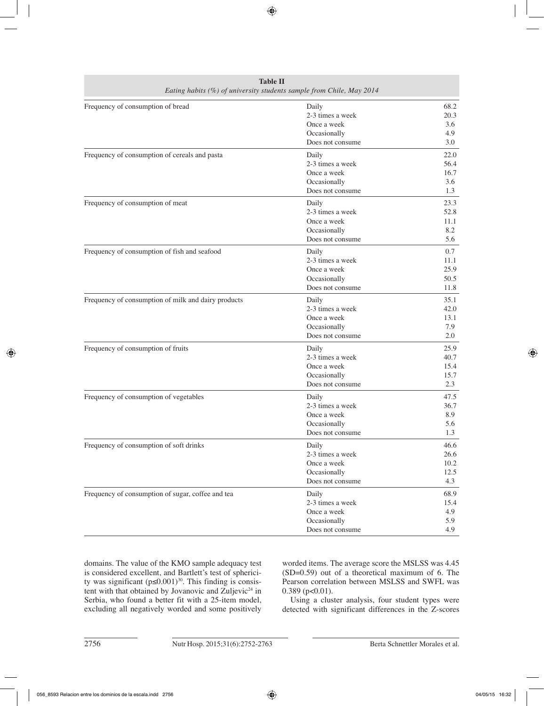| <b>Table II</b><br>Eating habits (%) of university students sample from Chile, May 2014 |                                                                              |                                     |  |  |
|-----------------------------------------------------------------------------------------|------------------------------------------------------------------------------|-------------------------------------|--|--|
| Frequency of consumption of bread                                                       | Daily<br>2-3 times a week<br>Once a week<br>Occasionally<br>Does not consume | 68.2<br>20.3<br>3.6<br>4.9<br>3.0   |  |  |
| Frequency of consumption of cereals and pasta                                           | Daily<br>2-3 times a week<br>Once a week<br>Occasionally<br>Does not consume | 22.0<br>56.4<br>16.7<br>3.6<br>1.3  |  |  |
| Frequency of consumption of meat                                                        | Daily<br>2-3 times a week<br>Once a week<br>Occasionally<br>Does not consume | 23.3<br>52.8<br>11.1<br>8.2<br>5.6  |  |  |
| Frequency of consumption of fish and seafood                                            | Daily<br>2-3 times a week<br>Once a week<br>Occasionally<br>Does not consume | 0.7<br>11.1<br>25.9<br>50.5<br>11.8 |  |  |
| Frequency of consumption of milk and dairy products                                     | Daily<br>2-3 times a week<br>Once a week<br>Occasionally<br>Does not consume | 35.1<br>42.0<br>13.1<br>7.9<br>2.0  |  |  |
| Frequency of consumption of fruits                                                      | Daily<br>2-3 times a week<br>Once a week<br>Occasionally<br>Does not consume | 25.9<br>40.7<br>15.4<br>15.7<br>2.3 |  |  |
| Frequency of consumption of vegetables                                                  | Daily<br>2-3 times a week<br>Once a week<br>Occasionally<br>Does not consume | 47.5<br>36.7<br>8.9<br>5.6<br>1.3   |  |  |
| Frequency of consumption of soft drinks                                                 | Daily<br>2-3 times a week<br>Once a week<br>Occasionally<br>Does not consume | 46.6<br>26.6<br>10.2<br>12.5<br>4.3 |  |  |
| Frequency of consumption of sugar, coffee and tea                                       | Daily<br>2-3 times a week<br>Once a week<br>Occasionally<br>Does not consume | 68.9<br>15.4<br>4.9<br>5.9<br>4.9   |  |  |

domains. The value of the KMO sample adequacy test is considered excellent, and Bartlett's test of sphericity was significant ( $p \le 0.001$ )<sup>30</sup>. This finding is consistent with that obtained by Jovanovic and Zuljevic<sup>24</sup> in Serbia, who found a better fit with a 25-item model, excluding all negatively worded and some positively

worded items. The average score the MSLSS was 4.45 (SD=0.59) out of a theoretical maximum of 6. The Pearson correlation between MSLSS and SWFL was  $0.389$  (p< $0.01$ ).

Using a cluster analysis, four student types were detected with significant differences in the Z-scores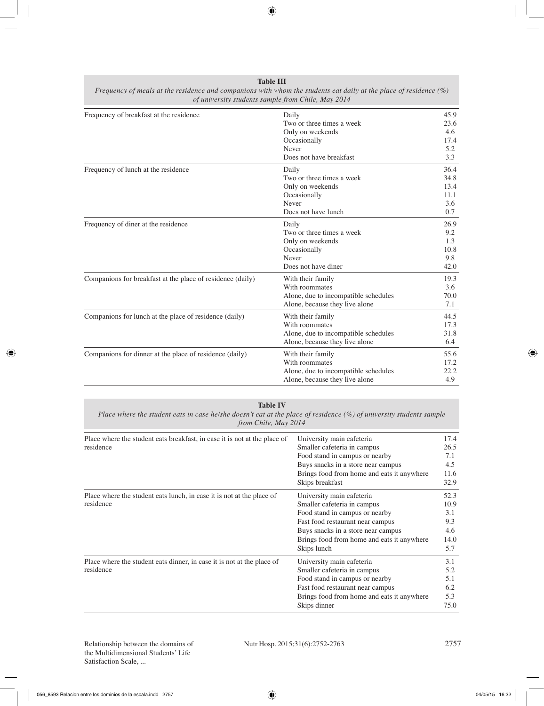| Frequency of meals at the residence and companions with whom the students eat daily at the place of residence $(\%)$<br>of university students sample from Chile, May 2014 |                                      |              |  |  |
|----------------------------------------------------------------------------------------------------------------------------------------------------------------------------|--------------------------------------|--------------|--|--|
| Frequency of breakfast at the residence                                                                                                                                    | Daily<br>Two or three times a week   | 45.9<br>23.6 |  |  |
|                                                                                                                                                                            | Only on weekends                     | 4.6          |  |  |
|                                                                                                                                                                            | Occasionally                         | 17.4         |  |  |
|                                                                                                                                                                            | Never                                | 5.2          |  |  |
|                                                                                                                                                                            | Does not have breakfast              | 3.3          |  |  |
| Frequency of lunch at the residence                                                                                                                                        | Daily                                | 36.4         |  |  |
|                                                                                                                                                                            | Two or three times a week            | 34.8         |  |  |
|                                                                                                                                                                            | Only on weekends                     | 13.4         |  |  |
|                                                                                                                                                                            | Occasionally                         | 11.1         |  |  |
|                                                                                                                                                                            | Never                                | 3.6          |  |  |
|                                                                                                                                                                            | Does not have lunch                  | 0.7          |  |  |
| Frequency of diner at the residence                                                                                                                                        | Daily                                | 26.9         |  |  |
|                                                                                                                                                                            | Two or three times a week            | 9.2          |  |  |
|                                                                                                                                                                            | Only on weekends                     | 1.3          |  |  |
|                                                                                                                                                                            | Occasionally                         | 10.8         |  |  |
|                                                                                                                                                                            | Never                                | 9.8          |  |  |
|                                                                                                                                                                            | Does not have diner                  | 42.0         |  |  |
| Companions for breakfast at the place of residence (daily)                                                                                                                 | With their family                    | 19.3         |  |  |
|                                                                                                                                                                            | With roommates                       | 3.6          |  |  |
|                                                                                                                                                                            | Alone, due to incompatible schedules | 70.0         |  |  |
|                                                                                                                                                                            | Alone, because they live alone       | 7.1          |  |  |
| Companions for lunch at the place of residence (daily)                                                                                                                     | With their family                    | 44.5         |  |  |
|                                                                                                                                                                            | With roommates                       | 17.3         |  |  |
|                                                                                                                                                                            | Alone, due to incompatible schedules | 31.8         |  |  |
|                                                                                                                                                                            | Alone, because they live alone       | 6.4          |  |  |
| Companions for dinner at the place of residence (daily)                                                                                                                    | With their family                    | 55.6         |  |  |
|                                                                                                                                                                            | With roommates                       | 17.2         |  |  |
|                                                                                                                                                                            | Alone, due to incompatible schedules | 22.2         |  |  |
|                                                                                                                                                                            | Alone, because they live alone       | 4.9          |  |  |

**Table III**

#### **Table IV**

*Place where the student eats in case he/she doesn't eat at the place of residence (%) of university students sample from Chile, May 2014*

| Place where the student eats breakfast, in case it is not at the place of<br>residence | University main cafeteria<br>Smaller cafeteria in campus<br>Food stand in campus or nearby | 17.4<br>26.5<br>7.1 |
|----------------------------------------------------------------------------------------|--------------------------------------------------------------------------------------------|---------------------|
|                                                                                        | Buys snacks in a store near campus                                                         | 4.5                 |
|                                                                                        | Brings food from home and eats it anywhere                                                 | 11.6                |
|                                                                                        | Skips breakfast                                                                            | 32.9                |
| Place where the student eats lunch, in case it is not at the place of                  | University main cafeteria                                                                  | 52.3                |
| residence                                                                              | Smaller cafeteria in campus                                                                | 10.9                |
|                                                                                        | Food stand in campus or nearby                                                             | 3.1                 |
|                                                                                        | Fast food restaurant near campus                                                           | 9.3                 |
|                                                                                        | Buys snacks in a store near campus                                                         | 4.6                 |
|                                                                                        | Brings food from home and eats it anywhere                                                 | 14.0                |
|                                                                                        | Skips lunch                                                                                | 5.7                 |
| Place where the student eats dinner, in case it is not at the place of                 | University main cafeteria                                                                  | 3.1                 |
| residence                                                                              | Smaller cafeteria in campus                                                                | 5.2                 |
|                                                                                        | Food stand in campus or nearby                                                             | 5.1                 |
|                                                                                        | Fast food restaurant near campus                                                           | 6.2                 |
|                                                                                        | Brings food from home and eats it anywhere                                                 | 5.3                 |
|                                                                                        | Skips dinner                                                                               | 75.0                |
|                                                                                        |                                                                                            |                     |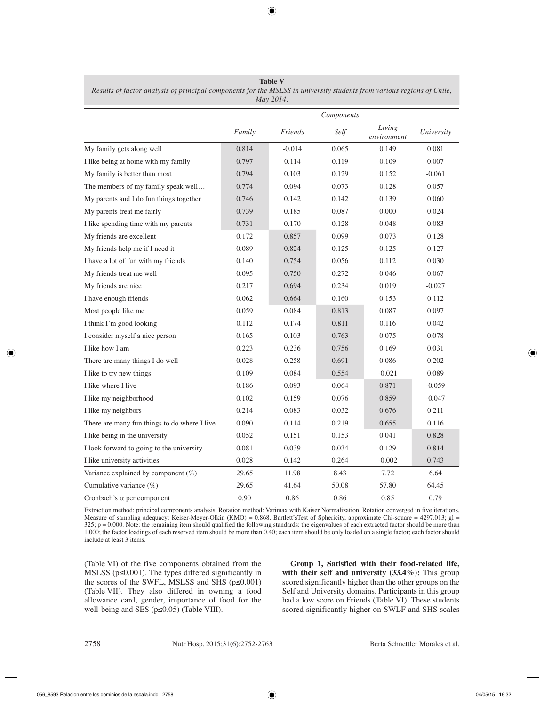**Table V** *Results of factor analysis of principal components for the MSLSS in university students from various regions of Chile, May 2014.*

|                                              |        |          | Components |                       |            |
|----------------------------------------------|--------|----------|------------|-----------------------|------------|
|                                              | Family | Friends  | Self       | Living<br>environment | University |
| My family gets along well                    | 0.814  | $-0.014$ | 0.065      | 0.149                 | 0.081      |
| I like being at home with my family          | 0.797  | 0.114    | 0.119      | 0.109                 | 0.007      |
| My family is better than most                | 0.794  | 0.103    | 0.129      | 0.152                 | $-0.061$   |
| The members of my family speak well          | 0.774  | 0.094    | 0.073      | 0.128                 | 0.057      |
| My parents and I do fun things together      | 0.746  | 0.142    | 0.142      | 0.139                 | 0.060      |
| My parents treat me fairly                   | 0.739  | 0.185    | 0.087      | 0.000                 | 0.024      |
| I like spending time with my parents         | 0.731  | 0.170    | 0.128      | 0.048                 | 0.083      |
| My friends are excellent                     | 0.172  | 0.857    | 0.099      | 0.073                 | 0.128      |
| My friends help me if I need it              | 0.089  | 0.824    | 0.125      | 0.125                 | 0.127      |
| I have a lot of fun with my friends          | 0.140  | 0.754    | 0.056      | 0.112                 | 0.030      |
| My friends treat me well                     | 0.095  | 0.750    | 0.272      | 0.046                 | 0.067      |
| My friends are nice                          | 0.217  | 0.694    | 0.234      | 0.019                 | $-0.027$   |
| I have enough friends                        | 0.062  | 0.664    | 0.160      | 0.153                 | 0.112      |
| Most people like me                          | 0.059  | 0.084    | 0.813      | 0.087                 | 0.097      |
| I think I'm good looking                     | 0.112  | 0.174    | 0.811      | 0.116                 | 0.042      |
| I consider myself a nice person              | 0.165  | 0.103    | 0.763      | 0.075                 | 0.078      |
| I like how I am                              | 0.223  | 0.236    | 0.756      | 0.169                 | 0.031      |
| There are many things I do well              | 0.028  | 0.258    | 0.691      | 0.086                 | 0.202      |
| I like to try new things                     | 0.109  | 0.084    | 0.554      | $-0.021$              | 0.089      |
| I like where I live                          | 0.186  | 0.093    | 0.064      | 0.871                 | $-0.059$   |
| I like my neighborhood                       | 0.102  | 0.159    | 0.076      | 0.859                 | $-0.047$   |
| I like my neighbors                          | 0.214  | 0.083    | 0.032      | 0.676                 | 0.211      |
| There are many fun things to do where I live | 0.090  | 0.114    | 0.219      | 0.655                 | 0.116      |
| I like being in the university               | 0.052  | 0.151    | 0.153      | 0.041                 | 0.828      |
| I look forward to going to the university    | 0.081  | 0.039    | 0.034      | 0.129                 | 0.814      |
| I like university activities                 | 0.028  | 0.142    | 0.264      | $-0.002$              | 0.743      |
| Variance explained by component $(\%)$       | 29.65  | 11.98    | 8.43       | 7.72                  | 6.64       |
| Cumulative variance $(\%)$                   | 29.65  | 41.64    | 50.08      | 57.80                 | 64.45      |
| Cronbach's $\alpha$ per component            | 0.90   | 0.86     | 0.86       | 0.85                  | 0.79       |

Extraction method: principal components analysis. Rotation method: Varimax with Kaiser Normalization. Rotation converged in five iterations. Measure of sampling adequacy: Keiser-Meyer-Olkin (KMO) =  $0.868$ . Bartlett'sTest of Sphericity, approximate Chi-square =  $4297.013$ ; gl =  $325$ ;  $p = 0.000$ . Note: the remaining item should qualified the following standards: the eigenvalues of each extracted factor should be more than 1.000; the factor loadings of each reserved item should be more than 0.40; each item should be only loaded on a single factor; each factor should include at least 3 items.

(Table VI) of the five components obtained from the MSLSS (p≤0.001). The types differed significantly in the scores of the SWFL, MSLSS and SHS ( $p \le 0.001$ ) (Table VII). They also differed in owning a food allowance card, gender, importance of food for the well-being and SES (p≤0.05) (Table VIII).

**Group 1, Satisfied with their food-related life, with their self and university (33.4%):** This group scored significantly higher than the other groups on the Self and University domains. Participants in this group had a low score on Friends (Table VI). These students scored significantly higher on SWLF and SHS scales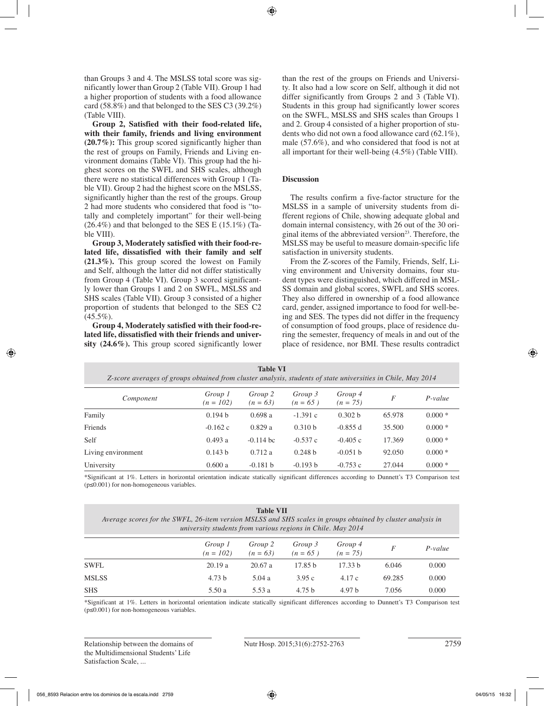than Groups 3 and 4. The MSLSS total score was significantly lower than Group 2 (Table VII). Group 1 had a higher proportion of students with a food allowance card  $(58.8\%)$  and that belonged to the SES C3  $(39.2\%)$ (Table VIII).

**Group 2, Satisfied with their food-related life, with their family, friends and living environment (20.7%):** This group scored significantly higher than the rest of groups on Family, Friends and Living environment domains (Table VI). This group had the highest scores on the SWFL and SHS scales, although there were no statistical differences with Group 1 (Table VII). Group 2 had the highest score on the MSLSS, significantly higher than the rest of the groups. Group 2 had more students who considered that food is "totally and completely important" for their well-being  $(26.4\%)$  and that belonged to the SES E  $(15.1\%)$  (Table VIII).

**Group 3, Moderately satisfied with their food-related life, dissatisfied with their family and self (21.3%).** This group scored the lowest on Family and Self, although the latter did not differ statistically from Group 4 (Table VI). Group 3 scored significantly lower than Groups 1 and 2 on SWFL, MSLSS and SHS scales (Table VII). Group 3 consisted of a higher proportion of students that belonged to the SES C2  $(45.5\%)$ .

**Group 4, Moderately satisfied with their food-related life, dissatisfied with their friends and university (24.6%).** This group scored significantly lower than the rest of the groups on Friends and University. It also had a low score on Self, although it did not differ significantly from Groups 2 and 3 (Table VI). Students in this group had significantly lower scores on the SWFL, MSLSS and SHS scales than Groups 1 and 2. Group 4 consisted of a higher proportion of students who did not own a food allowance card (62.1%), male (57.6%), and who considered that food is not at all important for their well-being (4.5%) (Table VIII).

## **Discussion**

The results confirm a five-factor structure for the MSLSS in a sample of university students from different regions of Chile, showing adequate global and domain internal consistency, with 26 out of the 30 original items of the abbreviated version $2<sup>3</sup>$ . Therefore, the MSLSS may be useful to measure domain-specific life satisfaction in university students.

From the Z-scores of the Family, Friends, Self, Living environment and University domains, four student types were distinguished, which differed in MSL-SS domain and global scores, SWFL and SHS scores. They also differed in ownership of a food allowance card, gender, assigned importance to food for well-being and SES. The types did not differ in the frequency of consumption of food groups, place of residence during the semester, frequency of meals in and out of the place of residence, nor BMI. These results contradict

| Z-score averages of groups obtained from cluster analysis, students of state universities in Chile, May 2014 |                        | <b>Table VI</b>       |                       |                       |        |           |
|--------------------------------------------------------------------------------------------------------------|------------------------|-----------------------|-----------------------|-----------------------|--------|-----------|
| Component                                                                                                    | Group 1<br>$(n = 102)$ | Group 2<br>$(n = 63)$ | Group 3<br>$(n = 65)$ | Group 4<br>$(n = 75)$ | F      | $P-value$ |
| Family                                                                                                       | 0.194 b                | 0.698a                | $-1.391c$             | 0.302 <sub>b</sub>    | 65.978 | $0.000*$  |
| Friends                                                                                                      | $-0.162$ c             | 0.829a                | 0.310 <sub>b</sub>    | $-0.855$ d            | 35.500 | $0.000*$  |
| Self                                                                                                         | 0.493a                 | $-0.114$ bc           | $-0.537c$             | $-0.405c$             | 17.369 | $0.000*$  |
| Living environment                                                                                           | 0.143 b                | 0.712a                | 0.248 b               | $-0.051 b$            | 92.050 | $0.000*$  |
| University                                                                                                   | 0.600a                 | $-0.181 b$            | $-0.193 b$            | $-0.753c$             | 27.044 | $0.000*$  |

\*Significant at 1%. Letters in horizontal orientation indicate statically significant differences according to Dunnett's T3 Comparison test (p≤0.001) for non-homogeneous variables.

## **Table VII**

*Average scores for the SWFL, 26-item version MSLSS and SHS scales in groups obtained by cluster analysis in university students from various regions in Chile. May 2014*

|              | Group 1<br>$(n = 102)$ | Group 2<br>$(n = 63)$ | Group 3<br>$(n = 65)$ | Group 4<br>$(n = 75)$ | F      | $P-value$ |
|--------------|------------------------|-----------------------|-----------------------|-----------------------|--------|-----------|
| <b>SWFL</b>  | 20.19a                 | 20.67 a               | 17.85 b               | 17.33 b               | 6.046  | 0.000     |
| <b>MSLSS</b> | 4.73 <sub>b</sub>      | 5.04 a                | 3.95c                 | 4.17 c                | 69.285 | 0.000     |
| <b>SHS</b>   | 5.50 a                 | 5.53 a                | 4.75 <sub>b</sub>     | 4.97 <sub>b</sub>     | 7.056  | 0.000     |

\*Significant at 1%. Letters in horizontal orientation indicate statically significant differences according to Dunnett's T3 Comparison test (p≤0.001) for non-homogeneous variables.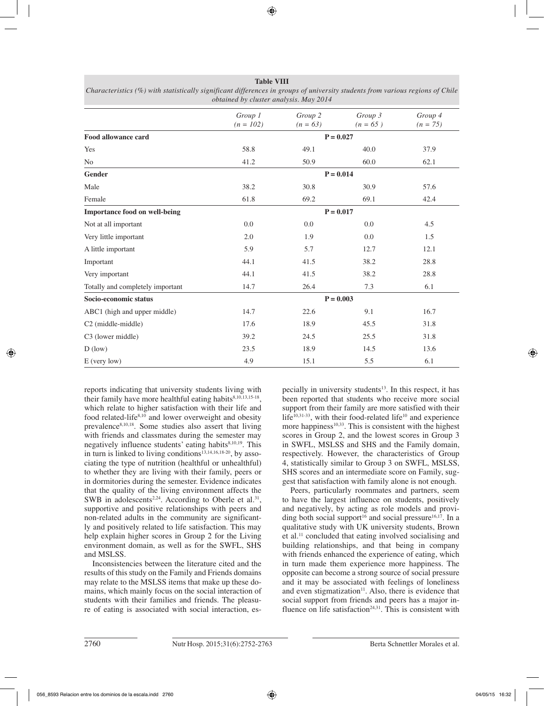|                                      | Group 1<br>$(n = 102)$ | Group 2<br>$(n = 63)$ | Group 3<br>$(n = 65)$ | Group 4<br>$(n = 75)$ |  |  |
|--------------------------------------|------------------------|-----------------------|-----------------------|-----------------------|--|--|
| <b>Food allowance card</b>           |                        |                       | $P = 0.027$           |                       |  |  |
| Yes                                  | 58.8                   | 49.1                  | 40.0                  | 37.9                  |  |  |
| No                                   | 41.2                   | 50.9                  | 60.0                  | 62.1                  |  |  |
| Gender                               |                        |                       | $P = 0.014$           |                       |  |  |
| Male                                 | 38.2                   | 30.8                  | 30.9                  | 57.6                  |  |  |
| Female                               | 61.8                   | 69.2                  | 69.1                  | 42.4                  |  |  |
| <b>Importance food on well-being</b> |                        |                       | $P = 0.017$           |                       |  |  |
| Not at all important                 | 0.0                    | 0.0                   | 0.0                   | 4.5                   |  |  |
| Very little important                | 2.0                    | 1.9                   | 0.0                   | 1.5                   |  |  |
| A little important                   | 5.9                    | 5.7                   | 12.7                  | 12.1                  |  |  |
| Important                            | 44.1                   | 41.5                  | 38.2                  | 28.8                  |  |  |
| Very important                       | 44.1                   | 41.5                  | 38.2                  | 28.8                  |  |  |
| Totally and completely important     | 14.7                   | 26.4                  | 7.3                   | 6.1                   |  |  |
| Socio-economic status                |                        |                       | $P = 0.003$           |                       |  |  |
| ABC1 (high and upper middle)         | 14.7                   | 22.6                  | 9.1                   | 16.7                  |  |  |
| C <sub>2</sub> (middle-middle)       | 17.6                   | 18.9                  | 45.5                  | 31.8                  |  |  |
| C3 (lower middle)                    | 39.2                   | 24.5                  | 25.5                  | 31.8                  |  |  |
| $D$ (low)                            | 23.5                   | 18.9                  | 14.5                  | 13.6                  |  |  |
| E (very low)                         | 4.9                    | 15.1                  | 5.5                   | 6.1                   |  |  |

**Table VIII** *Characteristics (%) with statistically significant differences in groups of university students from various regions of Chile obtained by cluster analysis. May 2014*

reports indicating that university students living with their family have more healthful eating habits $8,10,13,15-18$ , which relate to higher satisfaction with their life and food related-life<sup>8,10</sup> and lower overweight and obesity prevalence<sup>8,10,18</sup>. Some studies also assert that living with friends and classmates during the semester may negatively influence students' eating habits<sup>8,10,19</sup>. This in turn is linked to living conditions<sup>13,14,16,18-20</sup>, by associating the type of nutrition (healthful or unhealthful) to whether they are living with their family, peers or in dormitories during the semester. Evidence indicates that the quality of the living environment affects the SWB in adolescents<sup>2,24</sup>. According to Oberle et al.<sup>31</sup>, supportive and positive relationships with peers and non-related adults in the community are significantly and positively related to life satisfaction. This may help explain higher scores in Group 2 for the Living environment domain, as well as for the SWFL, SHS and MSLSS.

Inconsistencies between the literature cited and the results of this study on the Family and Friends domains may relate to the MSLSS items that make up these domains, which mainly focus on the social interaction of students with their families and friends. The pleasure of eating is associated with social interaction, especially in university students<sup>13</sup>. In this respect, it has been reported that students who receive more social support from their family are more satisfied with their life<sup>10,31-33</sup>, with their food-related life<sup>10</sup> and experience more happiness<sup>10,33</sup>. This is consistent with the highest scores in Group 2, and the lowest scores in Group 3 in SWFL, MSLSS and SHS and the Family domain, respectively. However, the characteristics of Group 4, statistically similar to Group 3 on SWFL, MSLSS, SHS scores and an intermediate score on Family, suggest that satisfaction with family alone is not enough.

Peers, particularly roommates and partners, seem to have the largest influence on students, positively and negatively, by acting as role models and providing both social support<sup>16</sup> and social pressure<sup>16,17</sup>. In a qualitative study with UK university students, Brown et al.11 concluded that eating involved socialising and building relationships, and that being in company with friends enhanced the experience of eating, which in turn made them experience more happiness. The opposite can become a strong source of social pressure and it may be associated with feelings of loneliness and even stigmatization<sup>11</sup>. Also, there is evidence that social support from friends and peers has a major influence on life satisfaction<sup> $24,31$ </sup>. This is consistent with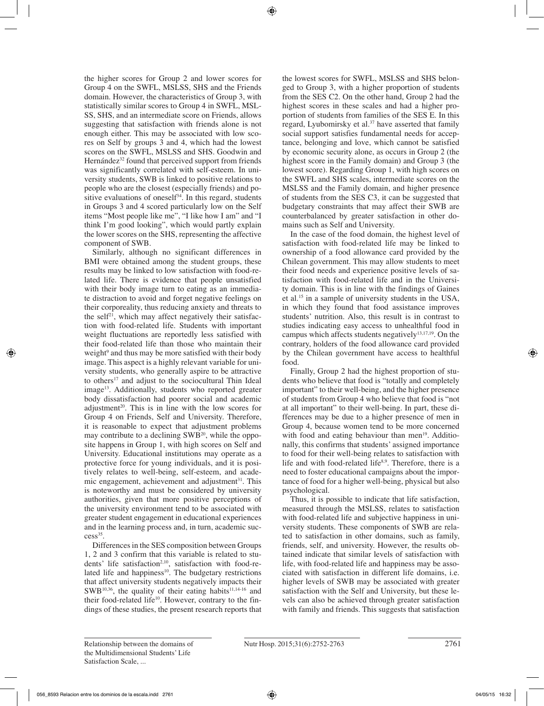the higher scores for Group 2 and lower scores for Group 4 on the SWFL, MSLSS, SHS and the Friends domain. However, the characteristics of Group 3, with statistically similar scores to Group 4 in SWFL, MSL-SS, SHS, and an intermediate score on Friends, allows suggesting that satisfaction with friends alone is not enough either. This may be associated with low scores on Self by groups 3 and 4, which had the lowest scores on the SWFL, MSLSS and SHS. Goodwin and Hernández<sup>32</sup> found that perceived support from friends was significantly correlated with self-esteem. In university students, SWB is linked to positive relations to people who are the closest (especially friends) and positive evaluations of oneself $34$ . In this regard, students in Groups 3 and 4 scored particularly low on the Self items "Most people like me", "I like how I am" and "I think I'm good looking", which would partly explain the lower scores on the SHS, representing the affective component of SWB.

Similarly, although no significant differences in BMI were obtained among the student groups, these results may be linked to low satisfaction with food-related life. There is evidence that people unsatisfied with their body image turn to eating as an immediate distraction to avoid and forget negative feelings on their corporeality, thus reducing anxiety and threats to the self<sup>21</sup>, which may affect negatively their satisfaction with food-related life. Students with important weight fluctuations are reportedly less satisfied with their food-related life than those who maintain their weight<sup>9</sup> and thus may be more satisfied with their body image. This aspect is a highly relevant variable for university students, who generally aspire to be attractive to others<sup>17</sup> and adjust to the sociocultural Thin Ideal image<sup>13</sup>. Additionally, students who reported greater body dissatisfaction had poorer social and academic adjustment<sup>20</sup>. This is in line with the low scores for Group 4 on Friends, Self and University. Therefore, it is reasonable to expect that adjustment problems may contribute to a declining SWB<sup>20</sup>, while the opposite happens in Group 1, with high scores on Self and University. Educational institutions may operate as a protective force for young individuals, and it is positively relates to well-being, self-esteem, and academic engagement, achievement and adjustment<sup>31</sup>. This is noteworthy and must be considered by university authorities, given that more positive perceptions of the university environment tend to be associated with greater student engagement in educational experiences and in the learning process and, in turn, academic suc $cess<sup>35</sup>$ .

Differences in the SES composition between Groups 1, 2 and 3 confirm that this variable is related to students' life satisfaction<sup>2,10</sup>, satisfaction with food-related life and happiness<sup>10</sup>. The budgetary restrictions that affect university students negatively impacts their  $SWB<sup>10,36</sup>$ , the quality of their eating habits<sup>11,14-16</sup> and their food-related life<sup>10</sup>. However, contrary to the findings of these studies, the present research reports that the lowest scores for SWFL, MSLSS and SHS belonged to Group 3, with a higher proportion of students from the SES C2. On the other hand, Group 2 had the highest scores in these scales and had a higher proportion of students from families of the SES E. In this regard, Lyubomirsky et al.37 have asserted that family social support satisfies fundamental needs for acceptance, belonging and love, which cannot be satisfied by economic security alone, as occurs in Group 2 (the highest score in the Family domain) and Group 3 (the lowest score). Regarding Group 1, with high scores on the SWFL and SHS scales, intermediate scores on the MSLSS and the Family domain, and higher presence of students from the SES C3, it can be suggested that budgetary constraints that may affect their SWB are counterbalanced by greater satisfaction in other domains such as Self and University.

In the case of the food domain, the highest level of satisfaction with food-related life may be linked to ownership of a food allowance card provided by the Chilean government. This may allow students to meet their food needs and experience positive levels of satisfaction with food-related life and in the University domain. This is in line with the findings of Gaines et al.15 in a sample of university students in the USA, in which they found that food assistance improves students' nutrition. Also, this result is in contrast to studies indicating easy access to unhealthful food in campus which affects students negatively<sup>13,17,19</sup>. On the contrary, holders of the food allowance card provided by the Chilean government have access to healthful food.

Finally, Group 2 had the highest proportion of students who believe that food is "totally and completely important" to their well-being, and the higher presence of students from Group 4 who believe that food is "not at all important" to their well-being. In part, these differences may be due to a higher presence of men in Group 4, because women tend to be more concerned with food and eating behaviour than men<sup>19</sup>. Additionally, this confirms that students' assigned importance to food for their well-being relates to satisfaction with life and with food-related life<sup>8,9</sup>. Therefore, there is a need to foster educational campaigns about the importance of food for a higher well-being, physical but also psychological.

Thus, it is possible to indicate that life satisfaction, measured through the MSLSS, relates to satisfaction with food-related life and subjective happiness in university students. These components of SWB are related to satisfaction in other domains, such as family, friends, self, and university. However, the results obtained indicate that similar levels of satisfaction with life, with food-related life and happiness may be associated with satisfaction in different life domains, i.e. higher levels of SWB may be associated with greater satisfaction with the Self and University, but these levels can also be achieved through greater satisfaction with family and friends. This suggests that satisfaction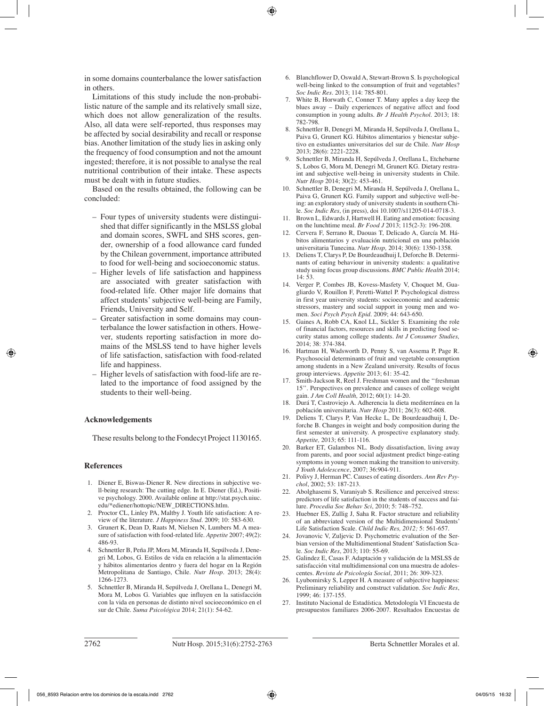in some domains counterbalance the lower satisfaction in others.

Limitations of this study include the non-probabilistic nature of the sample and its relatively small size, which does not allow generalization of the results. Also, all data were self-reported, thus responses may be affected by social desirability and recall or response bias. Another limitation of the study lies in asking only the frequency of food consumption and not the amount ingested; therefore, it is not possible to analyse the real nutritional contribution of their intake. These aspects must be dealt with in future studies.

Based on the results obtained, the following can be concluded:

- Four types of university students were distinguished that differ significantly in the MSLSS global and domain scores, SWFL and SHS scores, gender, ownership of a food allowance card funded by the Chilean government, importance attributed to food for well-being and socioeconomic status.
- Higher levels of life satisfaction and happiness are associated with greater satisfaction with food-related life. Other major life domains that affect students' subjective well-being are Family, Friends, University and Self.
- Greater satisfaction in some domains may counterbalance the lower satisfaction in others. However, students reporting satisfaction in more domains of the MSLSS tend to have higher levels of life satisfaction, satisfaction with food-related life and happiness.
- Higher levels of satisfaction with food-life are related to the importance of food assigned by the students to their well-being.

## **Acknowledgements**

These results belong to the Fondecyt Project 1130165.

#### **References**

- 1. Diener E, Biswas-Diener R. New directions in subjective well-being research: The cutting edge. In E. Diener (Ed.), Positive psychology. 2000. Available online at http://stat.psych.uiuc. edu/\*ediener/hottopic/NEW\_DIRECTIONS.htlm.
- 2. Proctor CL, Linley PA, Maltby J. Youth life satisfaction: A review of the literature. *J Happiness Stud.* 2009; 10: 583-630.
- 3. Grunert K, Dean D, Raats M, Nielsen N, Lumbers M. A measure of satisfaction with food-related life. *Appetite* 2007; 49(2): 486-93.
- 4. Schnettler B, Peña JP, Mora M, Miranda H, Sepúlveda J, Denegri M, Lobos, G. Estilos de vida en relación a la alimentación y hábitos alimentarios dentro y fuera del hogar en la Región Metropolitana de Santiago, Chile. *Nutr Hosp*. 2013; 28(4): 1266-1273.
- 5. Schnettler B, Miranda H, Sepúlveda J, Orellana L, Denegri M, Mora M, Lobos G. Variables que influyen en la satisfacción con la vida en personas de distinto nivel socioeconómico en el sur de Chile. *Suma Psicológica* 2014; 21(1): 54-62.
- 6. Blanchflower D, Oswald A, Stewart-Brown S. Is psychological well-being linked to the consumption of fruit and vegetables? *Soc Indic Res*. 2013; 114: 785-801.
- 7. White B, Horwath C, Conner T. Many apples a day keep the blues away – Daily experiences of negative affect and food consumption in young adults. *Br J Health Psychol*. 2013; 18: 782-798.
- 8. Schnettler B, Denegri M, Miranda H, Sepúlveda J, Orellana L, Paiva G, Grunert KG. Hábitos alimentarios y bienestar subjetivo en estudiantes universitarios del sur de Chile. *Nutr Hosp* 2013; 28(6): 2221-2228.
- 9. Schnettler B, Miranda H, Sepúlveda J, Orellana L, Etchebarne S, Lobos G, Mora M, Denegri M, Grunert KG. Dietary restraint and subjective well-being in university students in Chile. *Nutr Hosp* 2014; 30(2): 453-461.
- 10. Schnettler B, Denegri M, Miranda H, Sepúlveda J, Orellana L, Paiva G, Grunert KG. Family support and subjective well-being: an exploratory study of university students in southern Chile. *Soc Indic Res*, (in press), doi 10.1007/s11205-014-0718-3.
- 11. Brown L, Edwards J, Hartwell H. Eating and emotion: focusing on the lunchtime meal. *Br Food J* 2013; 115(2-3): 196-208.
- 12. Cervera F, Serrano R, Daouas T, Delicado A, García M. Hábitos alimentarios y evaluación nutricional en una población universitaria Tunecina. *Nutr Hosp,* 2014; 30(6): 1350-1358.
- 13. Deliens T, Clarys P, De Bourdeaudhuij I, Deforche B. Determinants of eating behaviour in university students: a qualitative study using focus group discussions. *BMC Public Health* 2014; 14: 53.
- 14. Verger P, Combes JB, Kovess-Masfety V, Choquet M, Guagliardo V, Rouillon F, Peretti-Wattel P. Psychological distress in first year university students: socioeconomic and academic stressors, mastery and social support in young men and women. *Soci Psych Psych Epid*. 2009; 44: 643-650.
- 15. Gaines A, Robb CA, Knol LL, Sickler S. Examining the role of financial factors, resources and skills in predicting food security status among college students. *Int J Consumer Studies,* 2014; 38: 374-384.
- 16. Hartman H, Wadsworth D, Penny S, van Assema P, Page R. Psychosocial determinants of fruit and vegetable consumption among students in a New Zealand university. Results of focus group interviews. *Appetite* 2013; 61: 35-42.
- 17. Smith-Jackson R, Reel J. Freshman women and the ''freshman 15''. Perspectives on prevalence and causes of college weight gain. *J Am Coll Health,* 2012; 60(1): 14-20.
- 18. Durá T, Castroviejo A. Adherencia la dieta mediterránea en la población universitaria. *Nutr Hosp* 2011; 26(3): 602-608.
- 19. Deliens T, Clarys P, Van Hecke L, De Bourdeaudhuij I, Deforche B. Changes in weight and body composition during the first semester at university. A prospective explanatory study. *Appetite,* 2013; 65: 111-116.
- 20. Barker ET, Galambos NL. Body dissatisfaction, living away from parents, and poor social adjustment predict binge-eating symptoms in young women making the transition to university. *J Youth Adolescence*, 2007; 36:904-911.
- 21. Polivy J, Herman PC. Causes of eating disorders. *Ann Rev Psychol*, 2002; 53: 187-213.
- 22. Abolghasemi S, Varaniyab S. Resilience and perceived stress: predictors of life satisfaction in the students of success and failure. *Procedia Soc Behav Sci*, 2010; 5: 748–752.
- 23. Huebner ES, Zullig J, Saha R. Factor structure and reliability of an abbreviated version of the Multidimensional Students' Life Satisfaction Scale. *Child Indic Res, 2012;* 5: 561-657.
- 24. Jovanovic V, Zuljevic D. Psychometric evaluation of the Serbian version of the Multidimentional Student' Satisfaction Scale. *Soc Indic Res*, 2013; 110: 55-69.
- 25. Galindez E, Casas F. Adaptación y validación de la MSLSS de satisfacción vital multidimensional con una muestra de adolescentes. *Revista de Psicología Social*, 2011; 26: 309-323.
- 26. Lyubomirsky S, Lepper H. A measure of subjective happiness: Preliminary reliability and construct validation. *Soc Indic Res*, 1999; 46: 137-155.
- 27. Instituto Nacional de Estadística. Metodología VI Encuesta de presupuestos familiares 2006-2007. Resultados Encuestas de